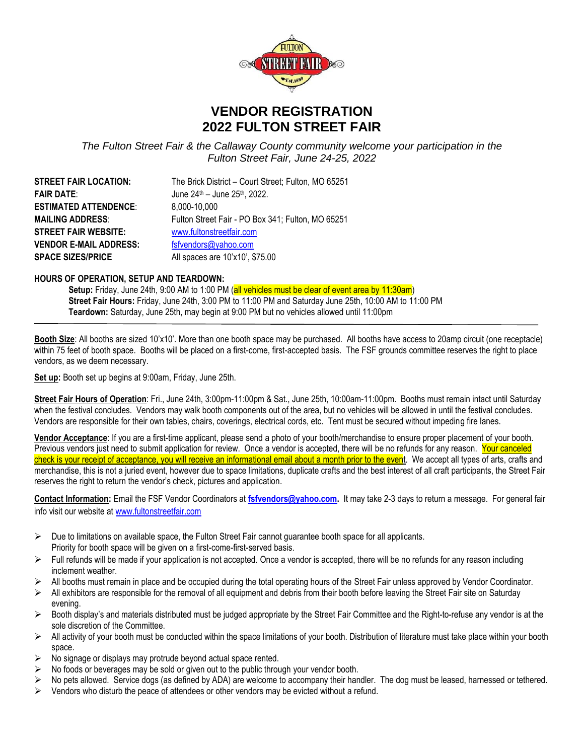

## **VENDOR REGISTRATION 2022 FULTON STREET FAIR**

*The Fulton Street Fair & the Callaway County community welcome your participation in the Fulton Street Fair, June 24-25, 2022*

| The Brick District - Court Street; Fulton, MO 65251 |
|-----------------------------------------------------|
| June 24th - June 25th, 2022.                        |
| 8,000-10,000                                        |
| Fulton Street Fair - PO Box 341; Fulton, MO 65251   |
| www.fultonstreetfair.com                            |
| fsfvendors@yahoo.com                                |
| All spaces are 10'x10', \$75.00                     |
|                                                     |

## **HOURS OF OPERATION, SETUP AND TEARDOWN:**

**Setup:** Friday, June 24th, 9:00 AM to 1:00 PM (all vehicles must be clear of event area by 11:30am) **Street Fair Hours:** Friday, June 24th, 3:00 PM to 11:00 PM and Saturday June 25th, 10:00 AM to 11:00 PM **Teardown:** Saturday, June 25th, may begin at 9:00 PM but no vehicles allowed until 11:00pm

**Booth Size**: All booths are sized 10'x10'. More than one booth space may be purchased. All booths have access to 20amp circuit (one receptacle) within 75 feet of booth space. Booths will be placed on a first-come, first-accepted basis. The FSF grounds committee reserves the right to place vendors, as we deem necessary.

**Set up:** Booth set up begins at 9:00am, Friday, June 25th.

**Street Fair Hours of Operation**: Fri., June 24th, 3:00pm-11:00pm & Sat., June 25th, 10:00am-11:00pm. Booths must remain intact until Saturday when the festival concludes. Vendors may walk booth components out of the area, but no vehicles will be allowed in until the festival concludes. Vendors are responsible for their own tables, chairs, coverings, electrical cords, etc. Tent must be secured without impeding fire lanes.

**Vendor Acceptance**: If you are a first-time applicant, please send a photo of your booth/merchandise to ensure proper placement of your booth. Previous vendors just need to submit application for review. Once a vendor is accepted, there will be no refunds for any reason. Your canceled check is your receipt of acceptance, you will receive an informational email about a month prior to the event.We accept all types of arts, crafts and merchandise, this is not a juried event, however due to space limitations, duplicate crafts and the best interest of all craft participants, the Street Fair reserves the right to return the vendor's check, pictures and application.

**Contact Information:** Email the FSF Vendor Coordinators at **[fsfvendors@yahoo.com.](mailto:fsfvendors@yahoo.com)** It may take 2-3 days to return a message. For general fair info visit our website at [www.fultonstreetfair.com](http://www.fultonstreetfair.com/)

- $\triangleright$  Due to limitations on available space, the Fulton Street Fair cannot guarantee booth space for all applicants. Priority for booth space will be given on a first-come-first-served basis.
- ➢ Full refunds will be made if your application is not accepted. Once a vendor is accepted, there will be no refunds for any reason including inclement weather.
- ➢ All booths must remain in place and be occupied during the total operating hours of the Street Fair unless approved by Vendor Coordinator.
- ➢ All exhibitors are responsible for the removal of all equipment and debris from their booth before leaving the Street Fair site on Saturday evening.
- $\triangleright$  Booth display's and materials distributed must be judged appropriate by the Street Fair Committee and the Right-to-refuse any vendor is at the sole discretion of the Committee.
- $\triangleright$  All activity of your booth must be conducted within the space limitations of your booth. Distribution of literature must take place within your booth space.
- $\triangleright$  No signage or displays may protrude beyond actual space rented.
- No foods or beverages may be sold or given out to the public through your vendor booth.
- No pets allowed. Service dogs (as defined by ADA) are welcome to accompany their handler. The dog must be leased, harnessed or tethered.
- Vendors who disturb the peace of attendees or other vendors may be evicted without a refund.